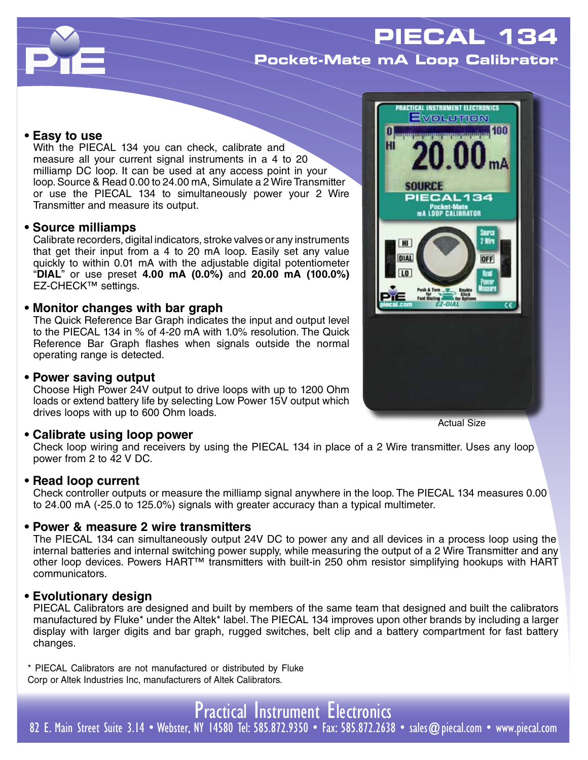# **PIECAL 134 Pocket-Mate mA Loop Calibrator**

#### **• Easy to use**

With the PIECAL 134 you can check, calibrate and measure all your current signal instruments in a 4 to 20 milliamp DC loop. It can be used at any access point in your loop. Source & Read 0.00 to 24.00 mA, Simulate a 2 Wire Transmitter or use the PIECAL 134 to simultaneously power your 2 Wire Transmitter and measure its output.

### **• Source milliamps**

Calibrate recorders, digital indicators, stroke valves or any instruments that get their input from a 4 to 20 mA loop. Easily set any value quickly to within 0.01 mA with the adjustable digital potentiometer "**DIAL**" or use preset **4.00 mA (0.0%)** and **20.00 mA (100.0%)** EZ-CHECK™ settings.

### **• Monitor changes with bar graph**

The Quick Reference Bar Graph indicates the input and output level to the PIECAL 134 in % of 4-20 mA with 1.0% resolution. The Quick Reference Bar Graph flashes when signals outside the normal operating range is detected.

### **• Power saving output**

Choose High Power 24V output to drive loops with up to 1200 Ohm loads or extend battery life by selecting Low Power 15V output which drives loops with up to 600 Ohm loads.

## **• Calibrate using loop power**

Check loop wiring and receivers by using the PIECAL 134 in place of a 2 Wire transmitter. Uses any loop power from 2 to 42 V DC.

## **• Read loop current**

Check controller outputs or measure the milliamp signal anywhere in the loop. The PIECAL 134 measures 0.00 to 24.00 mA (-25.0 to 125.0%) signals with greater accuracy than a typical multimeter.

## **• Power & measure 2 wire transmitters**

The PIECAL 134 can simultaneously output 24V DC to power any and all devices in a process loop using the internal batteries and internal switching power supply, while measuring the output of a 2 Wire Transmitter and any other loop devices. Powers HART™ transmitters with built-in 250 ohm resistor simplifying hookups with HART communicators.

## **• Evolutionary design**

PIECAL Calibrators are designed and built by members of the same team that designed and built the calibrators manufactured by Fluke\* under the Altek\* label. The PIECAL 134 improves upon other brands by including a larger display with larger digits and bar graph, rugged switches, belt clip and a battery compartment for fast battery changes.

\* PIECAL Calibrators are not manufactured or distributed by Fluke Corp or Altek Industries Inc, manufacturers of Altek Calibrators.



Actual Size

Practical Instrument Electronics 82 E. Main Street Suite 3.14 • Webster, NY 14580 Tel: 585.872.9350 • Fax: 585.872.2638 • sales@piecal.com • www.piecal.com